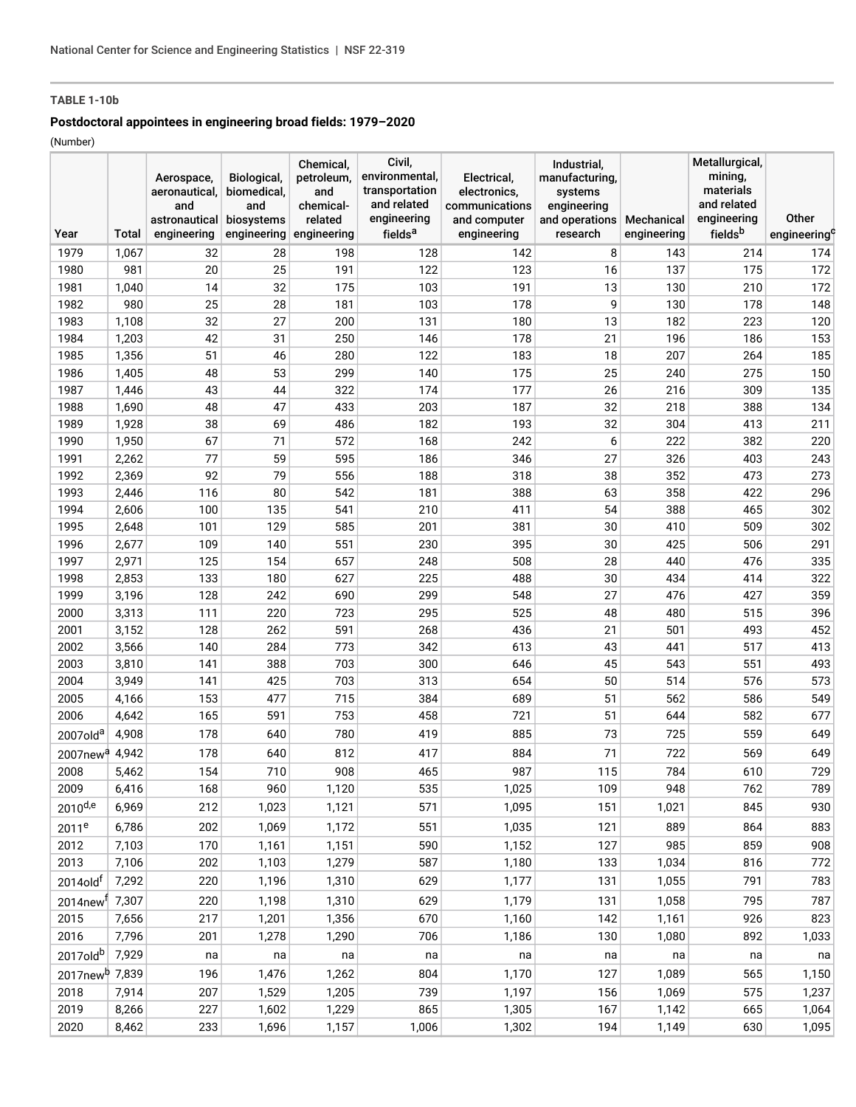## **TABLE 1-10b**

## **Postdoctoral appointees in engineering broad fields: 1979–2020**

(Number)

|                            |                | Aerospace,<br>aeronautical,<br>and<br>astronautical | Biological,<br>biomedical,<br>and<br>biosystems | Chemical,<br>petroleum,<br>and<br>chemical-<br>related | Civil,<br>environmental,<br>transportation<br>and related<br>engineering | Electrical,<br>electronics,<br>communications<br>and computer | Industrial,<br>manufacturing,<br>systems<br>engineering<br>and operations | Mechanical  | Metallurgical,<br>mining,<br>materials<br>and related<br>engineering | Other                    |
|----------------------------|----------------|-----------------------------------------------------|-------------------------------------------------|--------------------------------------------------------|--------------------------------------------------------------------------|---------------------------------------------------------------|---------------------------------------------------------------------------|-------------|----------------------------------------------------------------------|--------------------------|
| Year                       | Total          | engineering                                         | engineering                                     | engineering                                            | fields <sup>a</sup>                                                      | engineering                                                   | research                                                                  | engineering | fieldsb                                                              | engineering <sup>c</sup> |
| 1979                       | 1,067          | 32                                                  | 28                                              | 198                                                    | 128                                                                      | 142                                                           | 8                                                                         | 143         | 214                                                                  | 174                      |
| 1980                       | 981            | 20                                                  | 25                                              | 191                                                    | 122                                                                      | 123                                                           | 16                                                                        | 137         | 175                                                                  | 172                      |
| 1981                       | 1,040          | 14                                                  | 32                                              | 175                                                    | 103                                                                      | 191                                                           | 13                                                                        | 130         | 210                                                                  | 172                      |
| 1982                       | 980            | 25                                                  | 28                                              | 181                                                    | 103                                                                      | 178                                                           | 9                                                                         | 130         | 178                                                                  | 148                      |
| 1983                       | 1,108          | 32                                                  | 27                                              | 200                                                    | 131                                                                      | 180                                                           | 13                                                                        | 182         | 223                                                                  | 120                      |
| 1984                       | 1,203          | 42                                                  | 31                                              | 250                                                    | 146                                                                      | 178                                                           | 21                                                                        | 196         | 186                                                                  | 153                      |
| 1985                       | 1,356          | 51                                                  | 46                                              | 280                                                    | 122                                                                      | 183                                                           | 18                                                                        | 207         | 264                                                                  | 185                      |
| 1986                       | 1,405          | 48                                                  | 53                                              | 299                                                    | 140                                                                      | 175                                                           | 25                                                                        | 240         | 275                                                                  | 150                      |
| 1987                       | 1,446          | 43                                                  | 44                                              | 322                                                    | 174                                                                      | 177                                                           | 26                                                                        | 216         | 309                                                                  | 135                      |
| 1988                       | 1,690          | 48                                                  | 47                                              | 433                                                    | 203                                                                      | 187                                                           | 32                                                                        | 218         | 388                                                                  | 134                      |
| 1989                       | 1,928          | 38                                                  | 69                                              | 486                                                    | 182                                                                      | 193                                                           | 32                                                                        | 304         | 413                                                                  | 211                      |
| 1990                       | 1,950          | 67                                                  | 71                                              | 572                                                    | 168                                                                      | 242                                                           | 6                                                                         | 222         | 382                                                                  | 220                      |
| 1991                       | 2,262          | 77                                                  | 59                                              | 595                                                    | 186                                                                      | 346                                                           | 27                                                                        | 326         | 403                                                                  | 243                      |
| 1992                       | 2,369          | 92                                                  | 79                                              | 556                                                    | 188                                                                      | 318                                                           | 38                                                                        | 352         | 473                                                                  | 273                      |
| 1993                       | 2,446          | 116                                                 | 80                                              | 542                                                    | 181                                                                      | 388                                                           | 63                                                                        | 358         | 422                                                                  | 296                      |
| 1994                       | 2,606          | 100                                                 | 135                                             | 541                                                    | 210                                                                      | 411                                                           | 54                                                                        | 388         | 465                                                                  | 302                      |
| 1995<br>1996               | 2,648<br>2,677 | 101<br>109                                          | 129<br>140                                      | 585<br>551                                             | 201<br>230                                                               | 381<br>395                                                    | 30<br>30                                                                  | 410<br>425  | 509<br>506                                                           | 302<br>291               |
| 1997                       | 2,971          | 125                                                 | 154                                             | 657                                                    | 248                                                                      | 508                                                           | 28                                                                        | 440         | 476                                                                  | 335                      |
| 1998                       | 2,853          | 133                                                 | 180                                             | 627                                                    | 225                                                                      | 488                                                           | 30                                                                        | 434         | 414                                                                  | 322                      |
| 1999                       | 3,196          | 128                                                 | 242                                             | 690                                                    | 299                                                                      | 548                                                           | 27                                                                        | 476         | 427                                                                  | 359                      |
| 2000                       | 3,313          | 111                                                 | 220                                             | 723                                                    | 295                                                                      | 525                                                           | 48                                                                        | 480         | 515                                                                  | 396                      |
| 2001                       | 3,152          | 128                                                 | 262                                             | 591                                                    | 268                                                                      | 436                                                           | 21                                                                        | 501         | 493                                                                  | 452                      |
| 2002                       | 3,566          | 140                                                 | 284                                             | 773                                                    | 342                                                                      | 613                                                           | 43                                                                        | 441         | 517                                                                  | 413                      |
| 2003                       | 3,810          | 141                                                 | 388                                             | 703                                                    | 300                                                                      | 646                                                           | 45                                                                        | 543         | 551                                                                  | 493                      |
| 2004                       | 3,949          | 141                                                 | 425                                             | 703                                                    | 313                                                                      | 654                                                           | 50                                                                        | 514         | 576                                                                  | 573                      |
| 2005                       | 4,166          | 153                                                 | 477                                             | 715                                                    | 384                                                                      | 689                                                           | 51                                                                        | 562         | 586                                                                  | 549                      |
| 2006                       | 4,642          | 165                                                 | 591                                             | 753                                                    | 458                                                                      | 721                                                           | 51                                                                        | 644         | 582                                                                  | 677                      |
| 2007old <sup>a</sup>       | 4,908          | 178                                                 | 640                                             | 780                                                    | 419                                                                      | 885                                                           | 73                                                                        | 725         | 559                                                                  | 649                      |
| $2007$ new $a$             | 4,942          | 178                                                 | 640                                             | 812                                                    | 417                                                                      | 884                                                           | 71                                                                        | 722         | 569                                                                  | 649                      |
| 2008                       | 5,462          | 154                                                 | 710                                             | 908                                                    | 465                                                                      | 987                                                           | 115                                                                       | 784         | 610                                                                  | 729                      |
| 2009                       | 6,416          | 168                                                 | 960                                             | 1,120                                                  | 535                                                                      | 1,025                                                         | 109                                                                       | 948         | 762                                                                  | 789                      |
| 2010d,e                    | 6,969          | 212                                                 | 1,023                                           | 1,121                                                  | 571                                                                      | 1,095                                                         | 151                                                                       | 1,021       | 845                                                                  | 930                      |
| 2011 <sup>e</sup>          | 6,786          | 202                                                 | 1,069                                           | 1,172                                                  | 551                                                                      | 1,035                                                         | 121                                                                       | 889         | 864                                                                  | 883                      |
| 2012                       | 7,103          | 170                                                 | 1,161                                           | 1,151                                                  | 590                                                                      | 1,152                                                         | 127                                                                       | 985         | 859                                                                  | 908                      |
| 2013                       | 7,106          | 202                                                 | 1,103                                           | 1,279                                                  | 587                                                                      | 1,180                                                         | 133                                                                       | 1,034       | 816                                                                  | 772                      |
| 2014old <sup>f</sup>       | 7,292          | 220                                                 | 1,196                                           | 1,310                                                  | 629                                                                      | 1,177                                                         | 131                                                                       | 1,055       | 791                                                                  | 783                      |
|                            |                |                                                     |                                                 |                                                        |                                                                          |                                                               |                                                                           |             |                                                                      |                          |
| 2014new <sup>f</sup>       | 7,307          | 220                                                 | 1,198                                           | 1,310                                                  | 629                                                                      | 1,179                                                         | 131                                                                       | 1,058       | 795                                                                  | 787                      |
| 2015                       | 7,656          | 217                                                 | 1,201                                           | 1,356                                                  | 670                                                                      | 1,160                                                         | 142                                                                       | 1,161       | 926                                                                  | 823                      |
| 2016                       | 7,796          | 201                                                 | 1,278                                           | 1,290                                                  | 706                                                                      | 1,186                                                         | 130                                                                       | 1,080       | 892                                                                  | 1,033                    |
| 2017oldb                   | 7,929          | na                                                  | na                                              | na                                                     | na                                                                       | na                                                            | na                                                                        | na          | na                                                                   | na                       |
| 2017new <sup>b</sup> 7,839 |                | 196                                                 | 1,476                                           | 1,262                                                  | 804                                                                      | 1,170                                                         | 127                                                                       | 1,089       | 565                                                                  | 1,150                    |
| 2018                       | 7,914          | 207                                                 | 1,529                                           | 1,205                                                  | 739                                                                      | 1,197                                                         | 156                                                                       | 1,069       | 575                                                                  | 1,237                    |
| 2019                       | 8,266          | 227                                                 | 1,602                                           | 1,229                                                  | 865                                                                      | 1,305                                                         | 167                                                                       | 1,142       | 665                                                                  | 1,064                    |
| 2020                       | 8,462          | 233                                                 | 1,696                                           | 1,157                                                  | 1,006                                                                    | 1,302                                                         | 194                                                                       | 1,149       | 630                                                                  | 1,095                    |